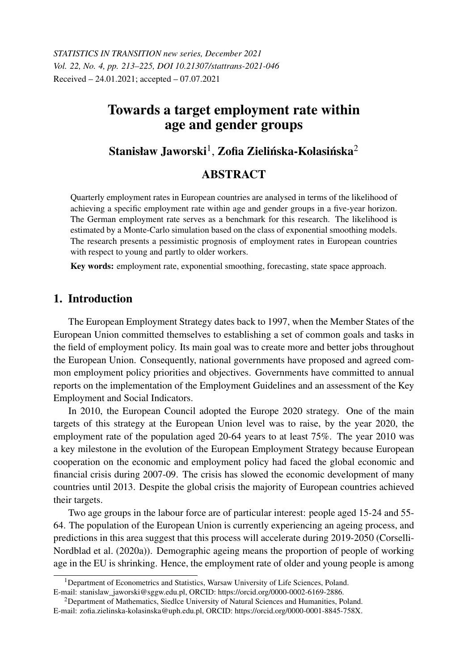*STATISTICS IN TRANSITION new series, December 2021 Vol. 22, No. 4, pp. 213–225, DOI 10.21307/stattrans-2021-046* Received – 24.01.2021; accepted – 07.07.2021

# Towards a target employment rate within age and gender groups

# Stanisław Jaworski $^{\rm l}$ , Zofia Zielińska-Kolasińska $^{\rm 2}$

# ABSTRACT

Quarterly employment rates in European countries are analysed in terms of the likelihood of achieving a specific employment rate within age and gender groups in a five-year horizon. The German employment rate serves as a benchmark for this research. The likelihood is estimated by a Monte-Carlo simulation based on the class of exponential smoothing models. The research presents a pessimistic prognosis of employment rates in European countries with respect to young and partly to older workers.

Key words: employment rate, exponential smoothing, forecasting, state space approach.

# 1. Introduction

The European Employment Strategy dates back to 1997, when the Member States of the European Union committed themselves to establishing a set of common goals and tasks in the field of employment policy. Its main goal was to create more and better jobs throughout the European Union. Consequently, national governments have proposed and agreed common employment policy priorities and objectives. Governments have committed to annual reports on the implementation of the Employment Guidelines and an assessment of the Key Employment and Social Indicators.

In 2010, the European Council adopted the Europe 2020 strategy. One of the main targets of this strategy at the European Union level was to raise, by the year 2020, the employment rate of the population aged 20-64 years to at least 75%. The year 2010 was a key milestone in the evolution of the European Employment Strategy because European cooperation on the economic and employment policy had faced the global economic and financial crisis during 2007-09. The crisis has slowed the economic development of many countries until 2013. Despite the global crisis the majority of European countries achieved their targets.

Two age groups in the labour force are of particular interest: people aged 15-24 and 55- 64. The population of the European Union is currently experiencing an ageing process, and predictions in this area suggest that this process will accelerate during 2019-2050 (Corselli-Nordblad et al. (2020a)). Demographic ageing means the proportion of people of working age in the EU is shrinking. Hence, the employment rate of older and young people is among

<sup>&</sup>lt;sup>1</sup>Department of Econometrics and Statistics, Warsaw University of Life Sciences, Poland. E-mail: stanislaw\_jaworski@sggw.edu.pl, ORCID: https://orcid.org/0000-0002-6169-2886.

<sup>2</sup>Department of Mathematics, Siedlce University of Natural Sciences and Humanities, Poland. E-mail: zofia.zielinska-kolasinska@uph.edu.pl, ORCID: https://orcid.org/0000-0001-8845-758X.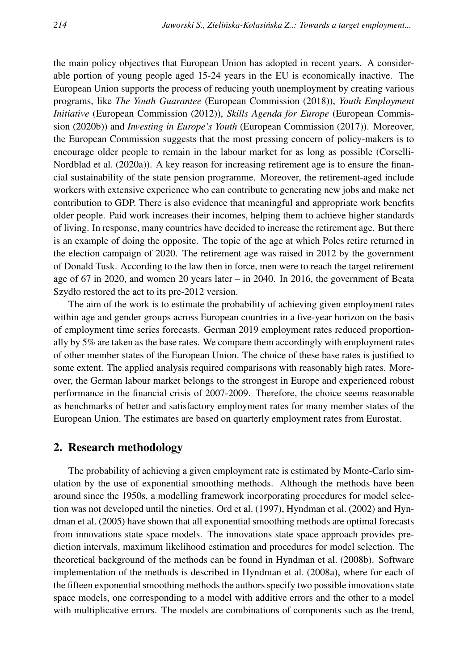the main policy objectives that European Union has adopted in recent years. A considerable portion of young people aged 15-24 years in the EU is economically inactive. The European Union supports the process of reducing youth unemployment by creating various programs, like *The Youth Guarantee* (European Commission (2018)), *Youth Employment Initiative* (European Commission (2012)), *Skills Agenda for Europe* (European Commission (2020b)) and *Investing in Europe's Youth* (European Commission (2017)). Moreover, the European Commission suggests that the most pressing concern of policy-makers is to encourage older people to remain in the labour market for as long as possible (Corselli-Nordblad et al. (2020a)). A key reason for increasing retirement age is to ensure the financial sustainability of the state pension programme. Moreover, the retirement-aged include workers with extensive experience who can contribute to generating new jobs and make net contribution to GDP. There is also evidence that meaningful and appropriate work benefits older people. Paid work increases their incomes, helping them to achieve higher standards of living. In response, many countries have decided to increase the retirement age. But there is an example of doing the opposite. The topic of the age at which Poles retire returned in the election campaign of 2020. The retirement age was raised in 2012 by the government of Donald Tusk. According to the law then in force, men were to reach the target retirement age of 67 in 2020, and women 20 years later – in 2040. In 2016, the government of Beata Szydło restored the act to its pre-2012 version.

The aim of the work is to estimate the probability of achieving given employment rates within age and gender groups across European countries in a five-year horizon on the basis of employment time series forecasts. German 2019 employment rates reduced proportionally by 5% are taken as the base rates. We compare them accordingly with employment rates of other member states of the European Union. The choice of these base rates is justified to some extent. The applied analysis required comparisons with reasonably high rates. Moreover, the German labour market belongs to the strongest in Europe and experienced robust performance in the financial crisis of 2007-2009. Therefore, the choice seems reasonable as benchmarks of better and satisfactory employment rates for many member states of the European Union. The estimates are based on quarterly employment rates from Eurostat.

## 2. Research methodology

The probability of achieving a given employment rate is estimated by Monte-Carlo simulation by the use of exponential smoothing methods. Although the methods have been around since the 1950s, a modelling framework incorporating procedures for model selection was not developed until the nineties. Ord et al. (1997), Hyndman et al. (2002) and Hyndman et al. (2005) have shown that all exponential smoothing methods are optimal forecasts from innovations state space models. The innovations state space approach provides prediction intervals, maximum likelihood estimation and procedures for model selection. The theoretical background of the methods can be found in Hyndman et al. (2008b). Software implementation of the methods is described in Hyndman et al. (2008a), where for each of the fifteen exponential smoothing methods the authors specify two possible innovations state space models, one corresponding to a model with additive errors and the other to a model with multiplicative errors. The models are combinations of components such as the trend,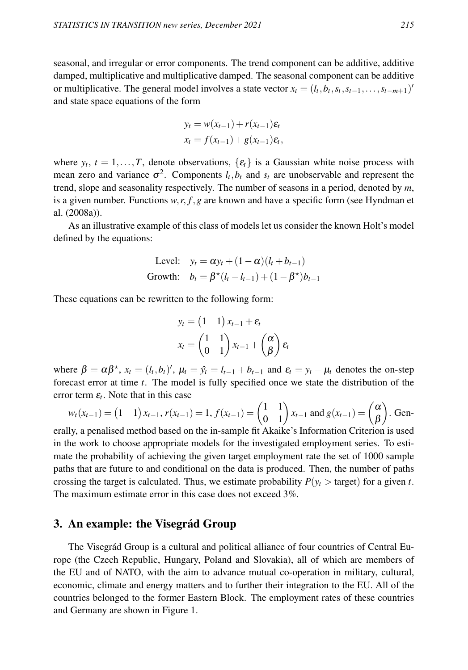seasonal, and irregular or error components. The trend component can be additive, additive damped, multiplicative and multiplicative damped. The seasonal component can be additive or multiplicative. The general model involves a state vector  $x_t = (l_t, b_t, s_t, s_{t-1}, \ldots, s_{t-m+1})'$ and state space equations of the form

$$
y_t = w(x_{t-1}) + r(x_{t-1})\varepsilon_t
$$
  

$$
x_t = f(x_{t-1}) + g(x_{t-1})\varepsilon_t,
$$

where  $y_t$ ,  $t = 1,...,T$ , denote observations,  $\{\varepsilon_t\}$  is a Gaussian white noise process with mean zero and variance  $\sigma^2$ . Components  $l_t$ ,  $b_t$  and  $s_t$  are unobservable and represent the trend, slope and seasonality respectively. The number of seasons in a period, denoted by *m*, is a given number. Functions  $w, r, f, g$  are known and have a specific form (see Hyndman et al. (2008a)).

As an illustrative example of this class of models let us consider the known Holt's model defined by the equations:

Level: 
$$
y_t = \alpha y_t + (1 - \alpha)(l_t + b_{t-1})
$$
  
Growth:  $b_t = \beta^*(l_t - l_{t-1}) + (1 - \beta^*)b_{t-1}$ 

These equations can be rewritten to the following form:

$$
y_t = \begin{pmatrix} 1 & 1 \end{pmatrix} x_{t-1} + \varepsilon_t
$$
  

$$
x_t = \begin{pmatrix} 1 & 1 \\ 0 & 1 \end{pmatrix} x_{t-1} + \begin{pmatrix} \alpha \\ \beta \end{pmatrix} \varepsilon_t
$$

where  $\beta = \alpha \beta^*$ ,  $x_t = (l_t, b_t)'$ ,  $\mu_t = \hat{y}_t = l_{t-1} + b_{t-1}$  and  $\varepsilon_t = y_t - \mu_t$  denotes the on-step forecast error at time *t*. The model is fully specified once we state the distribution of the error term  $\varepsilon_t$ . Note that in this case

$$
w_t(x_{t-1}) = (1 \quad 1) x_{t-1}, r(x_{t-1}) = 1, f(x_{t-1}) = \begin{pmatrix} 1 & 1 \ 0 & 1 \end{pmatrix} x_{t-1}
$$
 and  $g(x_{t-1}) = \begin{pmatrix} \alpha \\ \beta \end{pmatrix}$ . Gen-

erally, a penalised method based on the in-sample fit Akaike's Information Criterion is used in the work to choose appropriate models for the investigated employment series. To estimate the probability of achieving the given target employment rate the set of 1000 sample paths that are future to and conditional on the data is produced. Then, the number of paths crossing the target is calculated. Thus, we estimate probability  $P(y_t > \text{target})$  for a given *t*. The maximum estimate error in this case does not exceed 3%.

## 3. An example: the Visegrád Group

The Visegrád Group is a cultural and political alliance of four countries of Central Europe (the Czech Republic, Hungary, Poland and Slovakia), all of which are members of the EU and of NATO, with the aim to advance mutual co-operation in military, cultural, economic, climate and energy matters and to further their integration to the EU. All of the countries belonged to the former Eastern Block. The employment rates of these countries and Germany are shown in Figure 1.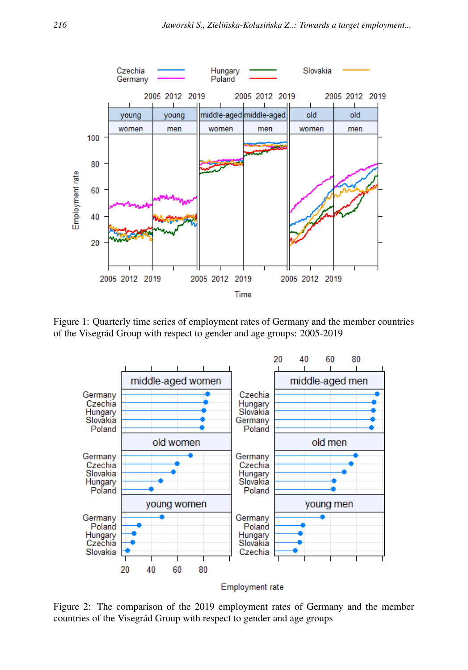

Figure 1: Quarterly time series of employment rates of Germany and the member countries of the Visegrád Group with respect to gender and age groups: 2005-2019



Employment rate

Figure 2: The comparison of the 2019 employment rates of Germany and the member countries of the Visegrád Group with respect to gender and age groups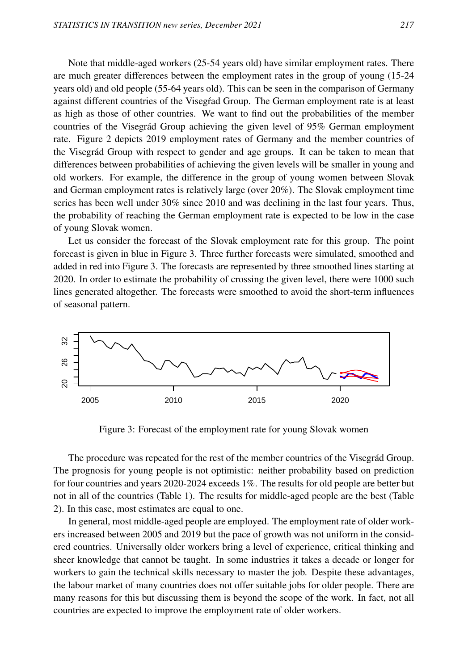Note that middle-aged workers (25-54 years old) have similar employment rates. There are much greater differences between the employment rates in the group of young (15-24 years old) and old people (55-64 years old). This can be seen in the comparison of Germany against different countries of the Visegrad Group. The German employment rate is at least as high as those of other countries. We want to find out the probabilities of the member countries of the Visegrád Group achieving the given level of 95% German employment rate. Figure 2 depicts 2019 employment rates of Germany and the member countries of the Visegrád Group with respect to gender and age groups. It can be taken to mean that differences between probabilities of achieving the given levels will be smaller in young and old workers. For example, the difference in the group of young women between Slovak and German employment rates is relatively large (over 20%). The Slovak employment time series has been well under 30% since 2010 and was declining in the last four years. Thus, the probability of reaching the German employment rate is expected to be low in the case of young Slovak women.

Let us consider the forecast of the Slovak employment rate for this group. The point forecast is given in blue in Figure 3. Three further forecasts were simulated, smoothed and added in red into Figure 3. The forecasts are represented by three smoothed lines starting at 2020. In order to estimate the probability of crossing the given level, there were 1000 such lines generated altogether. The forecasts were smoothed to avoid the short-term influences of seasonal pattern.



Figure 3: Forecast of the employment rate for young Slovak women

The procedure was repeated for the rest of the member countries of the Visegrád Group. The prognosis for young people is not optimistic: neither probability based on prediction for four countries and years 2020-2024 exceeds 1%. The results for old people are better but not in all of the countries (Table 1). The results for middle-aged people are the best (Table 2). In this case, most estimates are equal to one.

In general, most middle-aged people are employed. The employment rate of older workers increased between 2005 and 2019 but the pace of growth was not uniform in the considered countries. Universally older workers bring a level of experience, critical thinking and sheer knowledge that cannot be taught. In some industries it takes a decade or longer for workers to gain the technical skills necessary to master the job. Despite these advantages, the labour market of many countries does not offer suitable jobs for older people. There are many reasons for this but discussing them is beyond the scope of the work. In fact, not all countries are expected to improve the employment rate of older workers.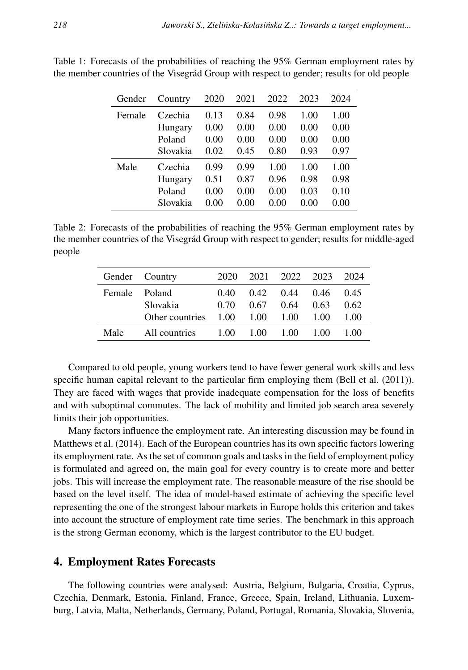| Gender | Country  | 2020 | 2021 | 2022 | 2023 | 2024 |
|--------|----------|------|------|------|------|------|
| Female | Czechia  | 0.13 | 0.84 | 0.98 | 1.00 | 1.00 |
|        | Hungary  | 0.00 | 0.00 | 0.00 | 0.00 | 0.00 |
|        | Poland   | 0.00 | 0.00 | 0.00 | 0.00 | 0.00 |
|        | Slovakia | 0.02 | 0.45 | 0.80 | 0.93 | 0.97 |
| Male   | Czechia  | 0.99 | 0.99 | 1.00 | 1.00 | 1.00 |
|        | Hungary  | 0.51 | 0.87 | 0.96 | 0.98 | 0.98 |
|        | Poland   | 0.00 | 0.00 | 0.00 | 0.03 | 0.10 |
|        | Slovakia | 0.00 | 0.00 | 0.00 | 0.00 | 0.00 |

Table 1: Forecasts of the probabilities of reaching the 95% German employment rates by the member countries of the Visegrád Group with respect to gender; results for old people

Table 2: Forecasts of the probabilities of reaching the 95% German employment rates by the member countries of the Visegrád Group with respect to gender; results for middle-aged people

|               | Gender Country  | 2020   | 2021 | 2022 2023 |      | 2024 |
|---------------|-----------------|--------|------|-----------|------|------|
| Female Poland |                 | (0.40) | 0.42 | 0.44      | 0.46 | 0.45 |
|               | Slovakia        | (170)  | 0.67 | 0.64      | 0.63 | 0.62 |
|               | Other countries | 1.00   | 1.00 | 1.00      | 1.00 | 1.00 |
| Male          | All countries   | 1.00   | 1.00 | 1.00      | 1.00 | 100  |
|               |                 |        |      |           |      |      |

Compared to old people, young workers tend to have fewer general work skills and less specific human capital relevant to the particular firm employing them (Bell et al. (2011)). They are faced with wages that provide inadequate compensation for the loss of benefits and with suboptimal commutes. The lack of mobility and limited job search area severely limits their job opportunities.

Many factors influence the employment rate. An interesting discussion may be found in Matthews et al. (2014). Each of the European countries has its own specific factors lowering its employment rate. As the set of common goals and tasks in the field of employment policy is formulated and agreed on, the main goal for every country is to create more and better jobs. This will increase the employment rate. The reasonable measure of the rise should be based on the level itself. The idea of model-based estimate of achieving the specific level representing the one of the strongest labour markets in Europe holds this criterion and takes into account the structure of employment rate time series. The benchmark in this approach is the strong German economy, which is the largest contributor to the EU budget.

## 4. Employment Rates Forecasts

The following countries were analysed: Austria, Belgium, Bulgaria, Croatia, Cyprus, Czechia, Denmark, Estonia, Finland, France, Greece, Spain, Ireland, Lithuania, Luxemburg, Latvia, Malta, Netherlands, Germany, Poland, Portugal, Romania, Slovakia, Slovenia,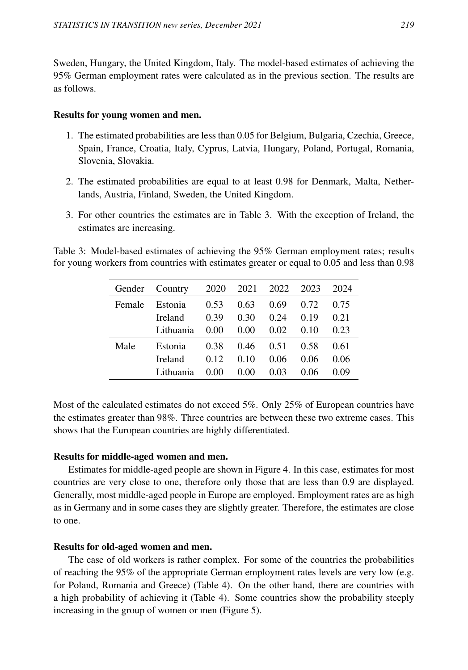Sweden, Hungary, the United Kingdom, Italy. The model-based estimates of achieving the 95% German employment rates were calculated as in the previous section. The results are as follows.

#### Results for young women and men.

- 1. The estimated probabilities are less than 0.05 for Belgium, Bulgaria, Czechia, Greece, Spain, France, Croatia, Italy, Cyprus, Latvia, Hungary, Poland, Portugal, Romania, Slovenia, Slovakia.
- 2. The estimated probabilities are equal to at least 0.98 for Denmark, Malta, Netherlands, Austria, Finland, Sweden, the United Kingdom.
- 3. For other countries the estimates are in Table 3. With the exception of Ireland, the estimates are increasing.

Table 3: Model-based estimates of achieving the 95% German employment rates; results for young workers from countries with estimates greater or equal to 0.05 and less than 0.98

|        | Gender Country |      |      | 2020 2021 2022 2023 |      | 2024 |
|--------|----------------|------|------|---------------------|------|------|
| Female | Estonia        | 0.53 | 0.63 | 0.69                | 0.72 | 0.75 |
|        | <b>Ireland</b> | 0.39 | 0.30 | 0.24                | 0.19 | 0.21 |
|        | Lithuania      | 0.00 | 0.00 | 0.02                | 0.10 | 0.23 |
| Male   | Estonia        | 0.38 | 0.46 | 0.51                | 0.58 | 0.61 |
|        | <b>Ireland</b> | 0.12 | 0.10 | 0.06                | 0.06 | 0.06 |
|        | Lithuania      | 0.00 | 0.00 | 0.03                | 0.06 | 0.09 |

Most of the calculated estimates do not exceed 5%. Only 25% of European countries have the estimates greater than 98%. Three countries are between these two extreme cases. This shows that the European countries are highly differentiated.

### Results for middle-aged women and men.

Estimates for middle-aged people are shown in Figure 4. In this case, estimates for most countries are very close to one, therefore only those that are less than 0.9 are displayed. Generally, most middle-aged people in Europe are employed. Employment rates are as high as in Germany and in some cases they are slightly greater. Therefore, the estimates are close to one.

### Results for old-aged women and men.

The case of old workers is rather complex. For some of the countries the probabilities of reaching the 95% of the appropriate German employment rates levels are very low (e.g. for Poland, Romania and Greece) (Table 4). On the other hand, there are countries with a high probability of achieving it (Table 4). Some countries show the probability steeply increasing in the group of women or men (Figure 5).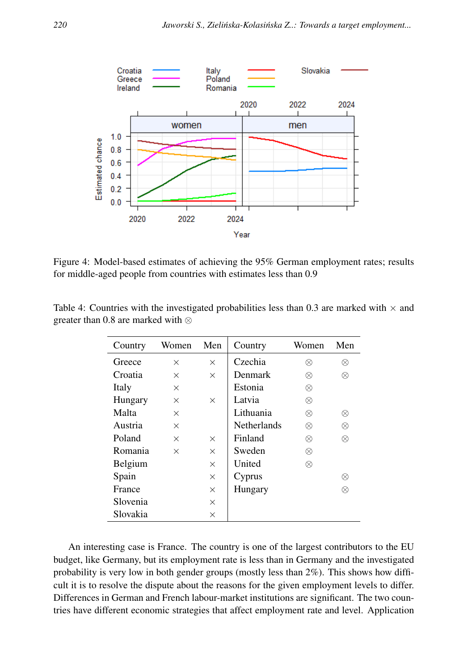

Figure 4: Model-based estimates of achieving the 95% German employment rates; results for middle-aged people from countries with estimates less than 0.9

| Country  | Women    | Men      | Country            | Women | Men |
|----------|----------|----------|--------------------|-------|-----|
| Greece   | $\times$ | $\times$ | Czechia            | ∞     | ⊗   |
| Croatia  | $\times$ | $\times$ | Denmark            | ∞     | ⊗   |
| Italy    | $\times$ |          | Estonia            | ⊗     |     |
| Hungary  | $\times$ | $\times$ | Latvia             | ⊗     |     |
| Malta    | $\times$ |          | Lithuania          | ⊗     | ⊗   |
| Austria  | $\times$ |          | <b>Netherlands</b> | ∞     | ∞   |
| Poland   | $\times$ | $\times$ | Finland            | ∞     | ⊗   |
| Romania  | $\times$ | $\times$ | Sweden             | ∞     |     |
| Belgium  |          | $\times$ | United             | ⊗     |     |
| Spain    |          | $\times$ | Cyprus             |       | ∞   |
| France   |          | $\times$ | Hungary            |       | ⊗   |
| Slovenia |          | $\times$ |                    |       |     |
| Slovakia |          | X        |                    |       |     |

Table 4: Countries with the investigated probabilities less than 0.3 are marked with  $\times$  and greater than 0.8 are marked with ⊗

An interesting case is France. The country is one of the largest contributors to the EU budget, like Germany, but its employment rate is less than in Germany and the investigated probability is very low in both gender groups (mostly less than 2%). This shows how difficult it is to resolve the dispute about the reasons for the given employment levels to differ. Differences in German and French labour-market institutions are significant. The two countries have different economic strategies that affect employment rate and level. Application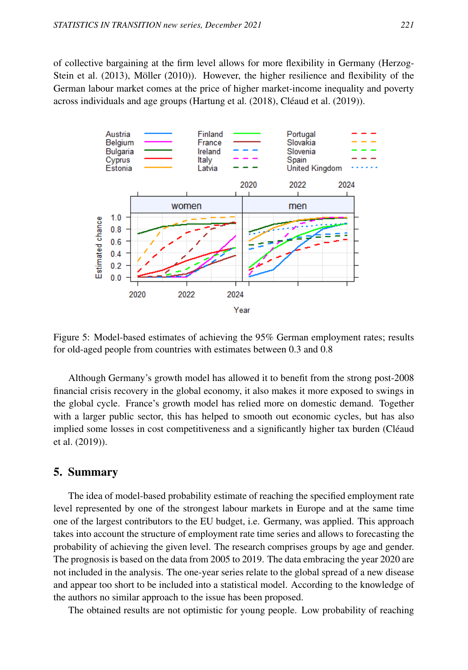of collective bargaining at the firm level allows for more flexibility in Germany (Herzog-Stein et al. (2013), Möller (2010)). However, the higher resilience and flexibility of the German labour market comes at the price of higher market-income inequality and poverty across individuals and age groups (Hartung et al. (2018), Cléaud et al. (2019)).



Figure 5: Model-based estimates of achieving the 95% German employment rates; results for old-aged people from countries with estimates between 0.3 and 0.8

Although Germany's growth model has allowed it to benefit from the strong post-2008 financial crisis recovery in the global economy, it also makes it more exposed to swings in the global cycle. France's growth model has relied more on domestic demand. Together with a larger public sector, this has helped to smooth out economic cycles, but has also implied some losses in cost competitiveness and a significantly higher tax burden (Cléaud et al. (2019)).

### 5. Summary

The idea of model-based probability estimate of reaching the specified employment rate level represented by one of the strongest labour markets in Europe and at the same time one of the largest contributors to the EU budget, i.e. Germany, was applied. This approach takes into account the structure of employment rate time series and allows to forecasting the probability of achieving the given level. The research comprises groups by age and gender. The prognosis is based on the data from 2005 to 2019. The data embracing the year 2020 are not included in the analysis. The one-year series relate to the global spread of a new disease and appear too short to be included into a statistical model. According to the knowledge of the authors no similar approach to the issue has been proposed.

The obtained results are not optimistic for young people. Low probability of reaching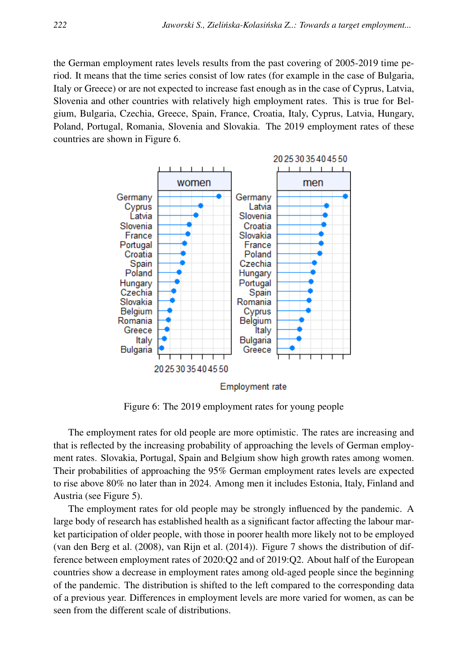the German employment rates levels results from the past covering of 2005-2019 time period. It means that the time series consist of low rates (for example in the case of Bulgaria, Italy or Greece) or are not expected to increase fast enough as in the case of Cyprus, Latvia, Slovenia and other countries with relatively high employment rates. This is true for Belgium, Bulgaria, Czechia, Greece, Spain, France, Croatia, Italy, Cyprus, Latvia, Hungary, Poland, Portugal, Romania, Slovenia and Slovakia. The 2019 employment rates of these countries are shown in Figure 6.



Figure 6: The 2019 employment rates for young people

The employment rates for old people are more optimistic. The rates are increasing and that is reflected by the increasing probability of approaching the levels of German employment rates. Slovakia, Portugal, Spain and Belgium show high growth rates among women. Their probabilities of approaching the 95% German employment rates levels are expected to rise above 80% no later than in 2024. Among men it includes Estonia, Italy, Finland and Austria (see Figure 5).

The employment rates for old people may be strongly influenced by the pandemic. A large body of research has established health as a significant factor affecting the labour market participation of older people, with those in poorer health more likely not to be employed (van den Berg et al. (2008), van Rijn et al. (2014)). Figure 7 shows the distribution of difference between employment rates of 2020:Q2 and of 2019:Q2. About half of the European countries show a decrease in employment rates among old-aged people since the beginning of the pandemic. The distribution is shifted to the left compared to the corresponding data of a previous year. Differences in employment levels are more varied for women, as can be seen from the different scale of distributions.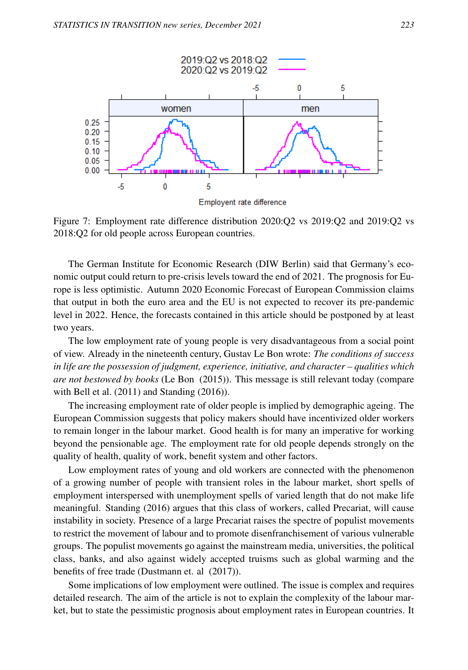

Figure 7: Employment rate difference distribution 2020:Q2 vs 2019:Q2 and 2019:Q2 vs 2018:Q2 for old people across European countries.

The German Institute for Economic Research (DIW Berlin) said that Germany's economic output could return to pre-crisis levels toward the end of 2021. The prognosis for Europe is less optimistic. Autumn 2020 Economic Forecast of European Commission claims that output in both the euro area and the EU is not expected to recover its pre-pandemic level in 2022. Hence, the forecasts contained in this article should be postponed by at least two years.

The low employment rate of young people is very disadvantageous from a social point of view. Already in the nineteenth century, Gustav Le Bon wrote: *The conditions of success in life are the possession of judgment, experience, initiative, and character – qualities which are not bestowed by books* (Le Bon (2015)). This message is still relevant today (compare with Bell et al. (2011) and Standing (2016)).

The increasing employment rate of older people is implied by demographic ageing. The European Commission suggests that policy makers should have incentivized older workers to remain longer in the labour market. Good health is for many an imperative for working beyond the pensionable age. The employment rate for old people depends strongly on the quality of health, quality of work, benefit system and other factors.

Low employment rates of young and old workers are connected with the phenomenon of a growing number of people with transient roles in the labour market, short spells of employment interspersed with unemployment spells of varied length that do not make life meaningful. Standing (2016) argues that this class of workers, called Precariat, will cause instability in society. Presence of a large Precariat raises the spectre of populist movements to restrict the movement of labour and to promote disenfranchisement of various vulnerable groups. The populist movements go against the mainstream media, universities, the political class, banks, and also against widely accepted truisms such as global warming and the benefits of free trade (Dustmann et. al (2017)).

Some implications of low employment were outlined. The issue is complex and requires detailed research. The aim of the article is not to explain the complexity of the labour market, but to state the pessimistic prognosis about employment rates in European countries. It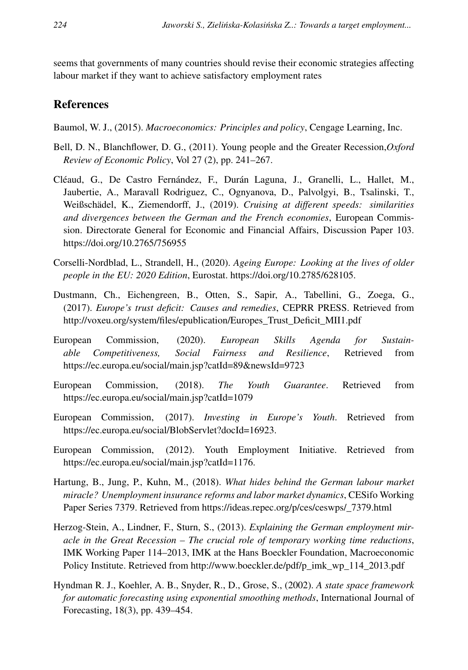seems that governments of many countries should revise their economic strategies affecting labour market if they want to achieve satisfactory employment rates

# References

- Baumol, W. J., (2015). *Macroeconomics: Principles and policy*, Cengage Learning, Inc.
- Bell, D. N., Blanchflower, D. G., (2011). Young people and the Greater Recession,*Oxford Review of Economic Policy*, Vol 27 (2), pp. 241–267.
- Cléaud, G., De Castro Fernández, F., Durán Laguna, J., Granelli, L., Hallet, M., Jaubertie, A., Maravall Rodriguez, C., Ognyanova, D., Palvolgyi, B., Tsalinski, T., Weißschädel, K., Ziemendorff, J., (2019). *Cruising at different speeds: similarities and divergences between the German and the French economies*, European Commission. Directorate General for Economic and Financial Affairs, Discussion Paper 103. https://doi.org/10.2765/756955
- Corselli-Nordblad, L., Strandell, H., (2020). *Ageing Europe: Looking at the lives of older people in the EU: 2020 Edition*, Eurostat. https://doi.org/10.2785/628105.
- Dustmann, Ch., Eichengreen, B., Otten, S., Sapir, A., Tabellini, G., Zoega, G., (2017). *Europe's trust deficit: Causes and remedies*, CEPRR PRESS. Retrieved from http://voxeu.org/system/files/epublication/Europes\_Trust\_Deficit\_MII1.pdf
- European Commission, (2020). *European Skills Agenda for Sustainable Competitiveness, Social Fairness and Resilience*, Retrieved from https://ec.europa.eu/social/main.jsp?catId=89&newsId=9723
- European Commission, (2018). *The Youth Guarantee*. Retrieved from https://ec.europa.eu/social/main.jsp?catId=1079
- European Commission, (2017). *Investing in Europe's Youth*. Retrieved from https://ec.europa.eu/social/BlobServlet?docId=16923.
- European Commission, (2012). Youth Employment Initiative. Retrieved from https://ec.europa.eu/social/main.jsp?catId=1176.
- Hartung, B., Jung, P., Kuhn, M., (2018). *What hides behind the German labour market miracle? Unemployment insurance reforms and labor market dynamics*, CESifo Working Paper Series 7379. Retrieved from https://ideas.repec.org/p/ces/ceswps/\_7379.html
- Herzog-Stein, A., Lindner, F., Sturn, S., (2013). *Explaining the German employment miracle in the Great Recession – The crucial role of temporary working time reductions*, IMK Working Paper 114–2013, IMK at the Hans Boeckler Foundation, Macroeconomic Policy Institute. Retrieved from http://www.boeckler.de/pdf/p\_imk\_wp\_114\_2013.pdf
- Hyndman R. J., Koehler, A. B., Snyder, R., D., Grose, S., (2002). *A state space framework for automatic forecasting using exponential smoothing methods*, International Journal of Forecasting, 18(3), pp. 439–454.